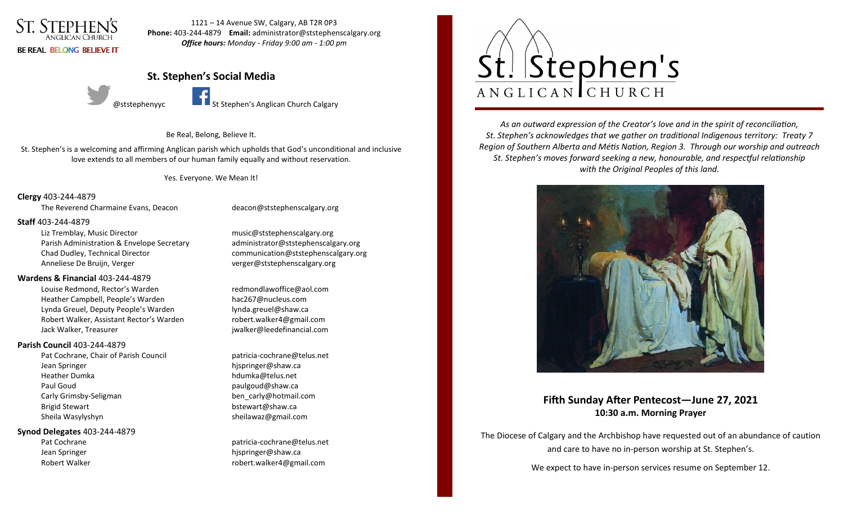

1121 – 14 Avenue SW, Calgary, AB T2R 0P3 **Phone:** 403-244-4879 **Email:** administrator@ststephenscalgary.org *Office hours: Monday - Friday 9:00 am - 1:00 pm*

# **St. Stephen's Social Media**



@ststephenyyc **St Stephen's Anglican Church Calgary** 

Be Real, Belong, Believe It.

St. Stephen's is a welcoming and affirming Anglican parish which upholds that God's unconditional and inclusive love extends to all members of our human family equally and without reservation.

Yes. Everyone. We Mean It!

# **Clergy** 403-244-4879

The Reverend Charmaine Evans, Deacon deacon **and all a controller of the Reverend Charmaine** Evans, Deacon

### **Staff** 403-244-4879

Liz Tremblay, Music Director music@ststephenscalgary.org Parish Administration & Envelope Secretary administrator@ststephenscalgary.org Chad Dudley, Technical Director communication@ststephenscalgary.org Anneliese De Bruijn, Verger verger verger@ststephenscalgary.org

## **Wardens & Financial** 403-244-4879

Louise Redmond, Rector's Warden redmondlawoffice@aol.com Heather Campbell, People's Warden hac267@nucleus.com Lynda Greuel, Deputy People's Warden lynda.greuel@shaw.ca Robert Walker, Assistant Rector's Warden robert.walker4@gmail.com Jack Walker, Treasurer jwalker@leedefinancial.com

## **Parish Council** 403-244-4879

Pat Cochrane, Chair of Parish Council **patricia-cochrane@telus.net** Jean Springer hjspringer@shaw.ca Heather Dumka hdumka@telus.net Paul Goud **paulgoud@shaw.ca** Carly Grimsby-Seligman ben carly@hotmail.com Brigid Stewart bstewart bstewart bstewart as bstewart as bstewart as bstewart as bstewart as bstewart as bstewart as  $b$ Sheila Wasylyshyn sheilawaz@gmail.com

### **Synod Delegates** 403-244-4879

Pat Cochrane **patricia-cochrane@telus.net** Jean Springer **hispringer@shaw.ca** Robert Walker robert.walker4@gmail.com



*As an outward expression of the Creator's love and in the spirit of reconciliation, St. Stephen's acknowledges that we gather on traditional Indigenous territory: Treaty 7 Region of Southern Alberta and Métis Nation, Region 3. Through our worship and outreach St. Stephen's moves forward seeking a new, honourable, and respectful relationship with the Original Peoples of this land.*



# **Fifth Sunday After Pentecost—June 27, 2021 10:30 a.m. Morning Prayer**

The Diocese of Calgary and the Archbishop have requested out of an abundance of caution and care to have no in-person worship at St. Stephen's.

We expect to have in-person services resume on September 12.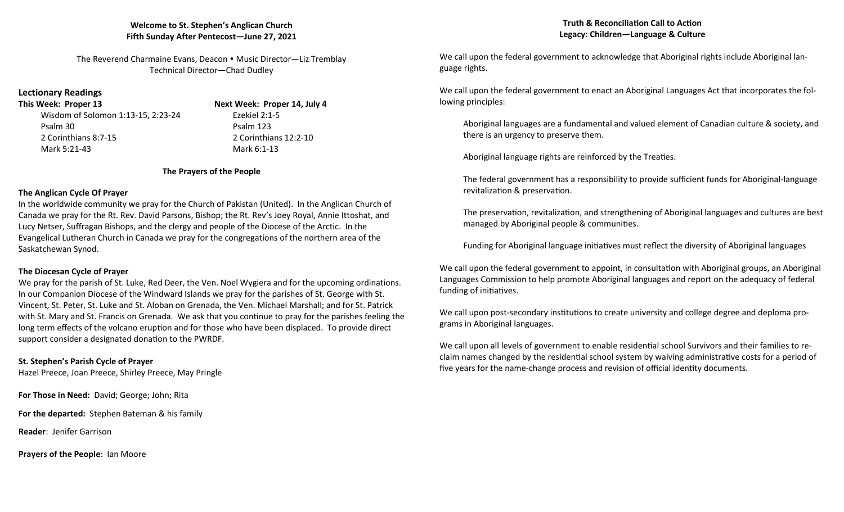# **Welcome to St. Stephen's Anglican Church Fifth Sunday After Pentecost—June 27, 2021**

The Reverend Charmaine Evans, Deacon • Music Director—Liz Tremblay Technical Director—Chad Dudley

# **Lectionary Readings**

Wisdom of Solomon 1:13-15, 2:23-24 Ezekiel 2:1-5 Psalm 30 Psalm 123 2 Corinthians 8:7-15 2 Corinthians 12:2-10 Mark 5:21-43 Mark 6:1-13

**This Week: Proper 13 Next Week: Proper 14, July 4**

# **The Prayers of the People**

# **The Anglican Cycle Of Prayer**

In the worldwide community we pray for the Church of Pakistan (United). In the Anglican Church of Canada we pray for the Rt. Rev. David Parsons, Bishop; the Rt. Rev's Joey Royal, Annie Ittoshat, and Lucy Netser, Suffragan Bishops, and the clergy and people of the Diocese of the Arctic. In the Evangelical Lutheran Church in Canada we pray for the congregations of the northern area of the Saskatchewan Synod.

# **The Diocesan Cycle of Prayer**

We pray for the parish of St. Luke, Red Deer, the Ven. Noel Wygiera and for the upcoming ordinations. In our Companion Diocese of the Windward Islands we pray for the parishes of St. George with St. Vincent, St. Peter, St. Luke and St. Aloban on Grenada, the Ven. Michael Marshall; and for St. Patrick with St. Mary and St. Francis on Grenada. We ask that you continue to pray for the parishes feeling the long term effects of the volcano eruption and for those who have been displaced. To provide direct support consider a designated donation to the PWRDF.

**St. Stephen's Parish Cycle of Prayer** Hazel Preece, Joan Preece, Shirley Preece, May Pringle

**For Those in Need:** David; George; John; Rita

**For the departed:** Stephen Bateman & his family

**Reader**: Jenifer Garrison

**Prayers of the People**: Ian Moore

We call upon the federal government to acknowledge that Aboriginal rights include Aboriginal language rights.

We call upon the federal government to enact an Aboriginal Languages Act that incorporates the following principles:

Aboriginal languages are a fundamental and valued element of Canadian culture & society, and there is an urgency to preserve them.

Aboriginal language rights are reinforced by the Treaties.

The federal government has a responsibility to provide sufficient funds for Aboriginal-language revitalization & preservation.

The preservation, revitalization, and strengthening of Aboriginal languages and cultures are best managed by Aboriginal people & communities.

Funding for Aboriginal language initiatives must reflect the diversity of Aboriginal languages

We call upon the federal government to appoint, in consultation with Aboriginal groups, an Aboriginal Languages Commission to help promote Aboriginal languages and report on the adequacy of federal funding of initiatives.

We call upon post-secondary institutions to create university and college degree and deploma programs in Aboriginal languages.

We call upon all levels of government to enable residential school Survivors and their families to reclaim names changed by the residential school system by waiving administrative costs for a period of five years for the name-change process and revision of official identity documents.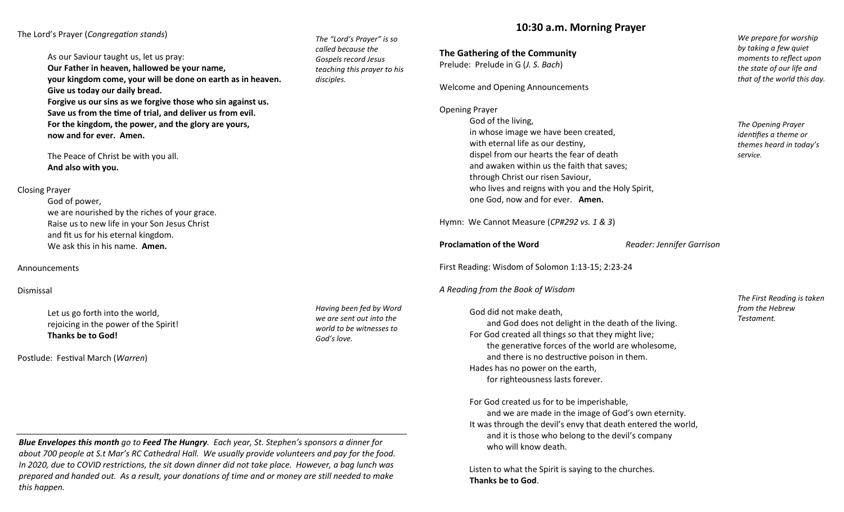The Lord's Prayer (*Congregation stands*)

As our Saviour taught us, let us pray: **Our Father in heaven, hallowed be your name, your kingdom come, your will be done on earth as in heaven. Give us today our daily bread. Forgive us our sins as we forgive those who sin against us. Save us from the time of trial, and deliver us from evil. For the kingdom, the power, and the glory are yours, now and for ever. Amen.**

The Peace of Christ be with you all. **And also with you.**

#### Closing Prayer

God of power, we are nourished by the riches of your grace. Raise us to new life in your Son Jesus Christ and fit us for his eternal kingdom. We ask this in his name. **Amen.**

#### Announcements

### Dismissal

Let us go forth into the world, rejoicing in the power of the Spirit! **Thanks be to God!**

Postlude: Festival March (*Warren*)

*Having been fed by Word we are sent out into the world to be witnesses to God's love.*

*The "Lord's Prayer" is so called because the Gospels record Jesus teaching this prayer to his* 

*disciples.*

*Blue Envelopes this month go to Feed The Hungry. Each year, St. Stephen's sponsors a dinner for about 700 people at S.t Mar's RC Cathedral Hall. We usually provide volunteers and pay for the food. In 2020, due to COVID restrictions, the sit down dinner did not take place. However, a bag lunch was prepared and handed out. As a result, your donations of time and or money are still needed to make this happen.*

# **10:30 a.m. Morning Prayer**

**The Gathering of the Community**

Prelude: Prelude in G (*J. S. Bach*)

Welcome and Opening Announcements

Opening Prayer

God of the living, in whose image we have been created, with eternal life as our destiny, dispel from our hearts the fear of death and awaken within us the faith that saves; through Christ our risen Saviour, who lives and reigns with you and the Holy Spirit, one God, now and for ever. **Amen.**

Hymn: We Cannot Measure (*CP#292 vs. 1 & 3*)

## **Proclamation of the Word** *Reader: Jennifer Garrison*

First Reading: Wisdom of Solomon 1:13-15; 2:23-24

*A Reading from the Book of Wisdom*

God did not make death, and God does not delight in the death of the living.

For God created all things so that they might live; the generative forces of the world are wholesome, and there is no destructive poison in them. Hades has no power on the earth, for righteousness lasts forever.

For God created us for to be imperishable, and we are made in the image of God's own eternity. It was through the devil's envy that death entered the world, and it is those who belong to the devil's company who will know death.

Listen to what the Spirit is saying to the churches. **Thanks be to God**.

*We prepare for worship by taking a few quiet moments to reflect upon the state of our life and that of the world this day.*

*The Opening Prayer identifies a theme or themes heard in today's service.*

*The First Reading is taken from the Hebrew Testament.*